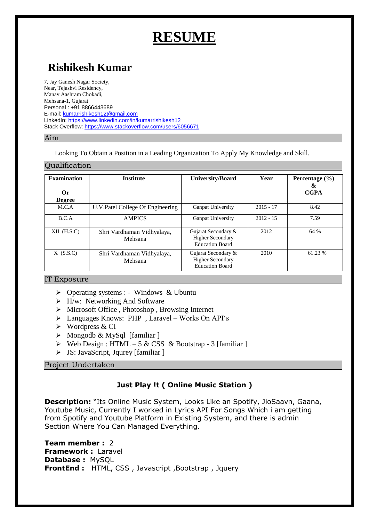# **RESUME**

# **Rishikesh Kumar**

7, Jay Ganesh Nagar Society, Near, Tejashvi Residency, Manav Aashram Chokadi, Mehsana-1, Gujarat Personal : +91 8866443689 E-mail[: kumarrishikesh12@gmail.com](mailto:kumarrishikesh12@gmail.com) LinkedIn:<https://www.linkedin.com/in/kumarrishikesh12> Stack Overflow[: https://www.stackoverflow.com/users/6056671](https://www.stackoverflow.com/users/6056671)

#### Aim

 $Q_{\text{total}}$ 

Looking To Obtain a Position in a Leading Organization To Apply My Knowledge and Skill.

| Quanncation                               |                                       |                                                                          |             |                                        |
|-------------------------------------------|---------------------------------------|--------------------------------------------------------------------------|-------------|----------------------------------------|
| <b>Examination</b><br>Or<br><b>Degree</b> | <b>Institute</b>                      | <b>University/Board</b>                                                  | Year        | Percentage $(\% )$<br>&<br><b>CGPA</b> |
| M.C.A                                     | U.V.Patel College Of Engineering      | Ganpat University                                                        | $2015 - 17$ | 8.42                                   |
| B.C.A                                     | <b>AMPICS</b>                         | Ganpat University                                                        | $2012 - 15$ | 7.59                                   |
| $XII$ (H.S.C)                             | Shri Vardhaman Vidhyalaya,<br>Mehsana | Gujarat Secondary &<br><b>Higher Secondary</b><br><b>Education Board</b> | 2012        | 64 %                                   |
| $X$ (S.S.C)                               | Shri Vardhaman Vidhyalaya,<br>Mehsana | Gujarat Secondary &<br><b>Higher Secondary</b><br><b>Education Board</b> | 2010        | 61.23 %                                |

#### IT Exposure

- $\triangleright$  Operating systems : Windows & Ubuntu
- $\triangleright$  H/w: Networking And Software
- $\triangleright$  Microsoft Office , Photoshop , Browsing Internet
- Languages Knows: PHP , Laravel Works On API's
- Wordpress & CI
- $\triangleright$  Mongodb & MySql [familiar]
- $\triangleright$  Web Design : HTML 5 & CSS & Bootstrap 3 [familiar ]
- $>$  JS: JavaScript, Jqurey [familiar ]

# Project Undertaken

# **Just Play !t ( Online Music Station )**

**Description:** "Its Online Music System, Looks Like an Spotify, JioSaavn, Gaana, Youtube Music, Currently I worked in Lyrics API For Songs Which i am getting from Spotify and Youtube Platform in Existing System, and there is admin Section Where You Can Managed Everything.

**Team member :** 2 **Framework :** Laravel **Database :** MySQL **FrontEnd :** HTML, CSS, Javascript, Bootstrap, Jquery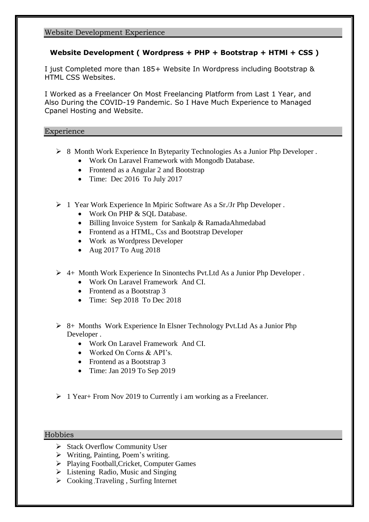#### Website Development Experience

# **Website Development ( Wordpress + PHP + Bootstrap + HTMl + CSS )**

I just Completed more than 185+ Website In Wordpress including Bootstrap & HTML CSS Websites.

I Worked as a Freelancer On Most Freelancing Platform from Last 1 Year, and Also During the COVID-19 Pandemic. So I Have Much Experience to Managed Cpanel Hosting and Website.

#### Experience

- 8 Month Work Experience In Byteparity Technologies As a Junior Php Developer .
	- Work On Laravel Framework with Mongodb Database.
	- Frontend as a Angular 2 and Bootstrap
	- Time: Dec 2016 To July 2017
- 1 Year Work Experience In Mpiric Software As a Sr./Jr Php Developer .
	- Work On PHP & SOL Database.
	- Billing Invoice System for Sankalp & RamadaAhmedabad
	- Frontend as a HTML, Css and Bootstrap Developer
	- Work as Wordpress Developer
	- Aug 2017 To Aug 2018
- $\triangleright$  4+ Month Work Experience In Sinontechs Pvt. Ltd As a Junior Php Developer.
	- Work On Laravel Framework And CI.
	- Frontend as a Bootstrap 3
	- Time: Sep 2018 To Dec 2018

 $\geq$  8+ Months Work Experience In Elsner Technology Pvt. Ltd As a Junior Php Developer .

- Work On Laravel Framework And CI.
- Worked On Corns & API's.
- Frontend as a Bootstrap 3
- $\bullet$  Time: Jan 2019 To Sep 2019
- $\geq 1$  Year + From Nov 2019 to Currently i am working as a Freelancer.

#### Hobbies

- $\triangleright$  Stack Overflow Community User
- Writing, Painting, Poem's writing.
- Playing Football,Cricket, Computer Games
- $\triangleright$  Listening Radio, Music and Singing
- $\triangleright$  Cooking ,Traveling , Surfing Internet